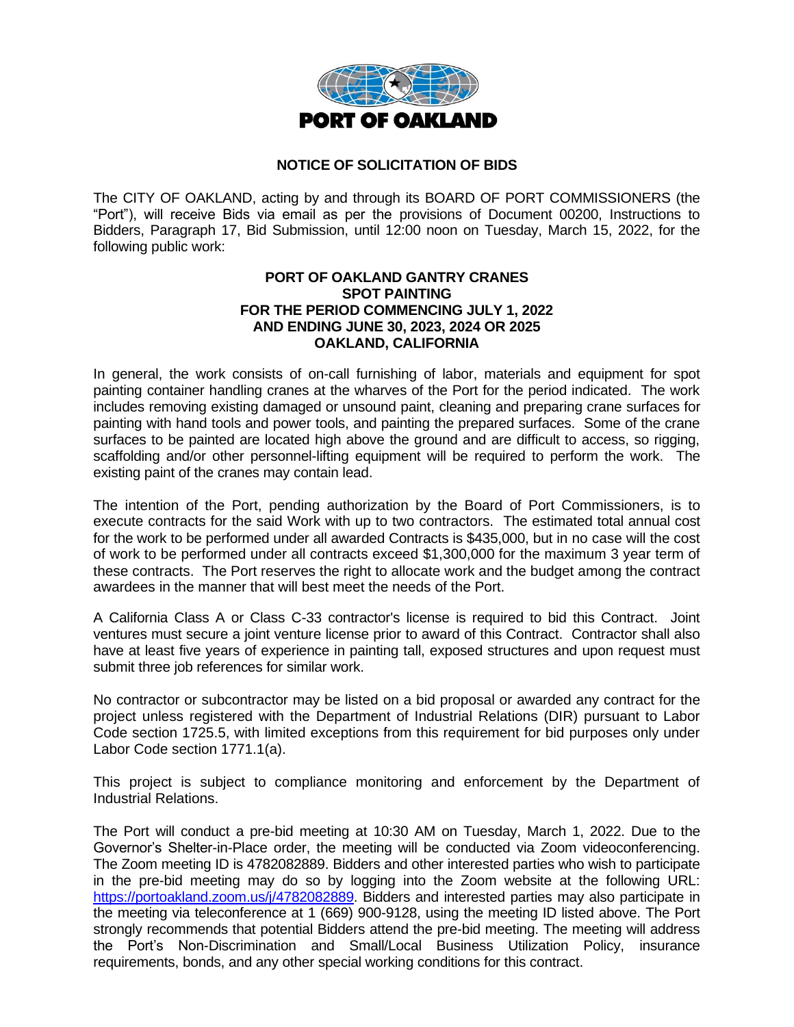

## **NOTICE OF SOLICITATION OF BIDS**

The CITY OF OAKLAND, acting by and through its BOARD OF PORT COMMISSIONERS (the "Port"), will receive Bids via email as per the provisions of Document 00200, Instructions to Bidders, Paragraph 17, Bid Submission, until 12:00 noon on Tuesday, March 15, 2022, for the following public work:

## **PORT OF OAKLAND GANTRY CRANES SPOT PAINTING FOR THE PERIOD COMMENCING JULY 1, 2022 AND ENDING JUNE 30, 2023, 2024 OR 2025 OAKLAND, CALIFORNIA**

In general, the work consists of on-call furnishing of labor, materials and equipment for spot painting container handling cranes at the wharves of the Port for the period indicated. The work includes removing existing damaged or unsound paint, cleaning and preparing crane surfaces for painting with hand tools and power tools, and painting the prepared surfaces. Some of the crane surfaces to be painted are located high above the ground and are difficult to access, so rigging, scaffolding and/or other personnel-lifting equipment will be required to perform the work. The existing paint of the cranes may contain lead.

The intention of the Port, pending authorization by the Board of Port Commissioners, is to execute contracts for the said Work with up to two contractors. The estimated total annual cost for the work to be performed under all awarded Contracts is \$435,000, but in no case will the cost of work to be performed under all contracts exceed \$1,300,000 for the maximum 3 year term of these contracts. The Port reserves the right to allocate work and the budget among the contract awardees in the manner that will best meet the needs of the Port.

A California Class A or Class C-33 contractor's license is required to bid this Contract. Joint ventures must secure a joint venture license prior to award of this Contract. Contractor shall also have at least five years of experience in painting tall, exposed structures and upon request must submit three job references for similar work.

No contractor or subcontractor may be listed on a bid proposal or awarded any contract for the project unless registered with the Department of Industrial Relations (DIR) pursuant to Labor Code section 1725.5, with limited exceptions from this requirement for bid purposes only under Labor Code section 1771.1(a).

This project is subject to compliance monitoring and enforcement by the Department of Industrial Relations.

The Port will conduct a pre-bid meeting at 10:30 AM on Tuesday, March 1, 2022. Due to the Governor's Shelter-in-Place order, the meeting will be conducted via Zoom videoconferencing. The Zoom meeting ID is 4782082889. Bidders and other interested parties who wish to participate in the pre-bid meeting may do so by logging into the Zoom website at the following URL: [https://portoakland.zoom.us/j/4782082889.](https://portoakland.zoom.us/j/4782082889) Bidders and interested parties may also participate in the meeting via teleconference at 1 (669) 900-9128, using the meeting ID listed above. The Port strongly recommends that potential Bidders attend the pre-bid meeting. The meeting will address the Port's Non-Discrimination and Small/Local Business Utilization Policy, insurance requirements, bonds, and any other special working conditions for this contract.